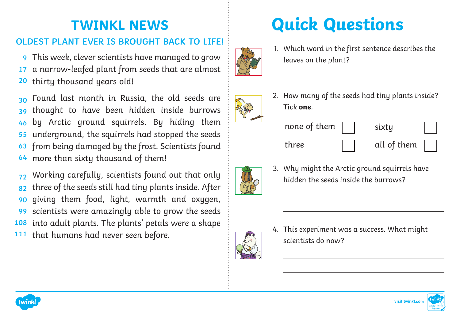## **TWINKL NEWS**

### **OLDEST PLANT EVER IS BROUGHT BACK TO LIFE!**

This week, clever scientists have managed to grow **9** a narrow-leafed plant from seeds that are almost thirty thousand years old! **17 20**

Found last month in Russia, the old seeds are thought to have been hidden inside burrows by Arctic ground squirrels. By hiding them underground, the squirrels had stopped the seeds from being damaged by the frost. Scientists found more than sixty thousand of them! **30 39 46 55 63 64**

Working carefully, scientists found out that only three of the seeds still had tiny plants inside. After giving them food, light, warmth and oxygen, scientists were amazingly able to grow the seeds into adult plants. The plants' petals were a shape **108** that humans had never seen before. **72 82 90 99 111**

# **Quick Questions**

- 
- 1. Which word in the first sentence describes the leaves on the plant?



2. How many of the seeds had tiny plants inside? Tick **one**.

 $\overline{a}$ 





3. Why might the Arctic ground squirrels have hidden the seeds inside the burrows?

- 
- 4. This experiment was a success. What might scientists do now?